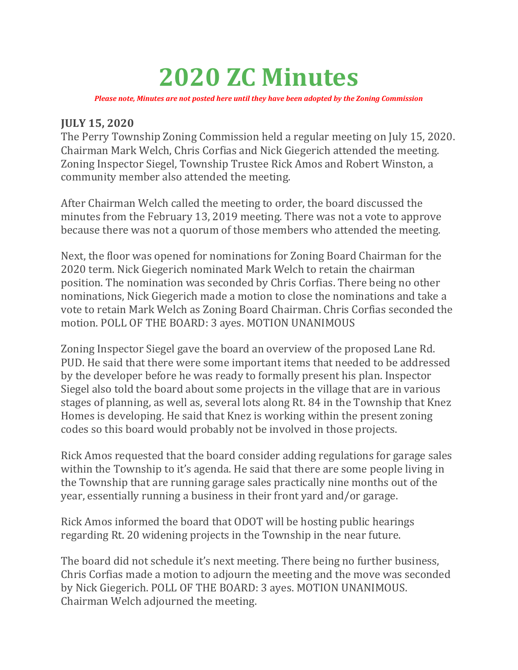## 2020 ZC Minutes

Please note, Minutes are not posted here until they have been adopted by the Zoning Commission

## JULY 15, 2020

The Perry Township Zoning Commission held a regular meeting on July 15, 2020. Chairman Mark Welch, Chris Corfias and Nick Giegerich attended the meeting. Zoning Inspector Siegel, Township Trustee Rick Amos and Robert Winston, a community member also attended the meeting.

After Chairman Welch called the meeting to order, the board discussed the minutes from the February 13, 2019 meeting. There was not a vote to approve because there was not a quorum of those members who attended the meeting.

Next, the floor was opened for nominations for Zoning Board Chairman for the 2020 term. Nick Giegerich nominated Mark Welch to retain the chairman position. The nomination was seconded by Chris Corfias. There being no other nominations, Nick Giegerich made a motion to close the nominations and take a vote to retain Mark Welch as Zoning Board Chairman. Chris Corfias seconded the motion. POLL OF THE BOARD: 3 ayes. MOTION UNANIMOUS

Zoning Inspector Siegel gave the board an overview of the proposed Lane Rd. PUD. He said that there were some important items that needed to be addressed by the developer before he was ready to formally present his plan. Inspector Siegel also told the board about some projects in the village that are in various stages of planning, as well as, several lots along Rt. 84 in the Township that Knez Homes is developing. He said that Knez is working within the present zoning codes so this board would probably not be involved in those projects.

Rick Amos requested that the board consider adding regulations for garage sales within the Township to it's agenda. He said that there are some people living in the Township that are running garage sales practically nine months out of the year, essentially running a business in their front yard and/or garage.

Rick Amos informed the board that ODOT will be hosting public hearings regarding Rt. 20 widening projects in the Township in the near future.

The board did not schedule it's next meeting. There being no further business, Chris Corfias made a motion to adjourn the meeting and the move was seconded by Nick Giegerich. POLL OF THE BOARD: 3 ayes. MOTION UNANIMOUS. Chairman Welch adjourned the meeting.